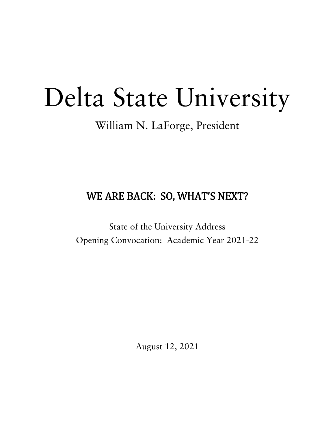# Delta State University

# William N. LaForge, President

# WE ARE BACK: SO, WHAT'S NEXT?

State of the University Address Opening Convocation: Academic Year 2021-22

August 12, 2021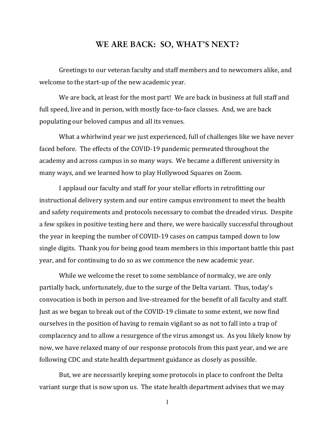# **WE ARE BACK: SO, WHAT'S NEXT?**

Greetings to our veteran faculty and staff members and to newcomers alike, and welcome to the start-up of the new academic year.

We are back, at least for the most part! We are back in business at full staff and full speed, live and in person, with mostly face-to-face classes. And, we are back populating our beloved campus and all its venues.

What a whirlwind year we just experienced, full of challenges like we have never faced before. The effects of the COVID-19 pandemic permeated throughout the academy and across campus in so many ways. We became a different university in many ways, and we learned how to play Hollywood Squares on Zoom.

I applaud our faculty and staff for your stellar efforts in retrofitting our instructional delivery system and our entire campus environment to meet the health and safety requirements and protocols necessary to combat the dreaded virus. Despite a few spikes in positive testing here and there, we were basically successful throughout the year in keeping the number of COVID-19 cases on campus tamped down to low single digits. Thank you for being good team members in this important battle this past year, and for continuing to do so as we commence the new academic year.

While we welcome the reset to some semblance of normalcy, we are only partially back, unfortunately, due to the surge of the Delta variant. Thus, today's convocation is both in person and live-streamed for the benefit of all faculty and staff. Just as we began to break out of the COVID-19 climate to some extent, we now find ourselves in the position of having to remain vigilant so as not to fall into a trap of complacency and to allow a resurgence of the virus amongst us. As you likely know by now, we have relaxed many of our response protocols from this past year, and we are following CDC and state health department guidance as closely as possible.

But, we are necessarily keeping some protocols in place to confront the Delta variant surge that is now upon us. The state health department advises that we may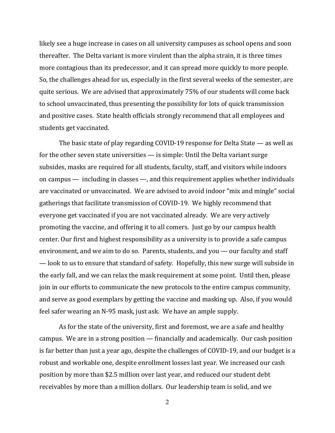likely see a huge increase in cases on all university campuses as school opens and soon thereafter. The Delta variant is more virulent than the alpha strain, it is three times more contagious than its predecessor, and it can spread more quickly to more people. So, the challenges ahead for us, especially in the first several weeks of the semester, are quite serious. We are advised that approximately 75% of our students will come back to school unvaccinated, thus presenting the possibility for lots of quick transmission and positive cases. State health officials strongly recommend that all employees and students get vaccinated.

The basic state of play regarding COVID-19 response for Delta State — as well as for the other seven state universities — is simple: Until the Delta variant surge subsides, masks are required for all students, faculty, staff, and visitors while indoors on campus — including in classes —, and this requirement applies whether individuals are vaccinated or unvaccinated. We are advised to avoid indoor "mix and mingle" social gatherings that facilitate transmission of COVID-19. We highly recommend that everyone get vaccinated if you are not vaccinated already. We are very actively promoting the vaccine, and offering it to all comers. Just go by our campus health center. Our first and highest responsibility as a university is to provide a safe campus environment, and we aim to do so. Parents, students, and you — our faculty and staff — look to us to ensure that standard of safety. Hopefully, this new surge will subside in the early fall, and we can relax the mask requirement at some point. Until then, please join in our efforts to communicate the new protocols to the entire campus community, and serve as good exemplars by getting the vaccine and masking up. Also, if you would feel safer wearing an N-95 mask, just ask. We have an ample supply.

As for the state of the university, first and foremost, we are a safe and healthy campus. We are in a strong position — financially and academically. Our cash position is far better than just a year ago, despite the challenges of COVID-19, and our budget is a robust and workable one, despite enrollment losses last year. We increased our cash position by more than \$2.5 million over last year, and reduced our student debt receivables by more than a million dollars. Our leadership team is solid, and we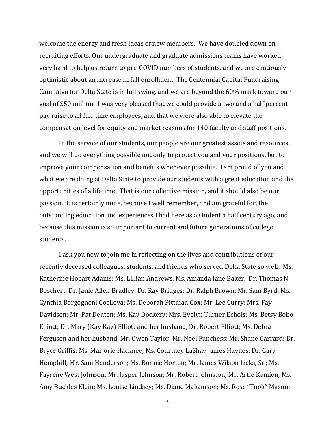welcome the energy and fresh ideas of new members. We have doubled down on recruiting efforts. Our undergraduate and graduate admissions teams have worked very hard to help us return to pre-COVID numbers of students, and we are cautiously optimistic about an increase in fall enrollment. The Centennial Capital Fundraising Campaign for Delta State is in full swing, and we are beyond the 60% mark toward our goal of \$50 million. I was very pleased that we could provide a two and a half percent pay raise to all full-time employees, and that we were also able to elevate the compensation level for equity and market reasons for 140 faculty and staff positions.

In the service of our students, our people are our greatest assets and resources, and we will do everything possible not only to protect you and your positions, but to improve your compensation and benefits whenever possible. I am proud of you and what we are doing at Delta State to provide our students with a great education and the opportunities of a lifetime. That is our collective mission, and it should also be our passion. It is certainly mine, because I well remember, and am grateful for, the outstanding education and experiences I had here as a student a half century ago, and because this mission is so important to current and future generations of college students.

I ask you now to join me in reflecting on the lives and contributions of our recently deceased colleagues, students, and friends who served Delta State so well: Ms. Katherine Hobart Adams; Ms. Lillian Andrews, Ms. Amanda Jane Baker, Dr. Thomas N. Boschert; Dr. Janie Allen Bradley; Dr. Ray Bridges; Dr. Ralph Brown; Mr. Sam Byrd; Ms. Cynthia Borgognoni Cocilova; Ms. Deborah Pittman Cox; Mr. Lee Curry; Mrs. Fay Davidson; Mr. Pat Denton; Ms. Kay Dockery; Mrs. Evelyn Turner Echols; Ms. Betsy Bobo Elliott; Dr. Mary (Kay Kay) Elliott and her husband, Dr. Robert Elliott; Ms. Debra Ferguson and her husband, Mr. Owen Taylor; Mr. Noel Funchess; Mr. Shane Garrard; Dr. Bryce Griffis; Ms. Marjorie Hackney; Ms. Courtney LaShay James Haynes; Dr. Gary Hemphill; Mr. Sam Henderson; Ms. Bonnie Horton; Mr. James Wilson Jacks, Sr.; Ms. Fayrene West Johnson; Mr. Jasper Johnson; Mr. Robert Johnston; Mr. Artie Kamien; Ms. Amy Buckles Klein; Ms. Louise Lindsey; Ms. Diane Makamson; Ms. Rose "Took" Mason;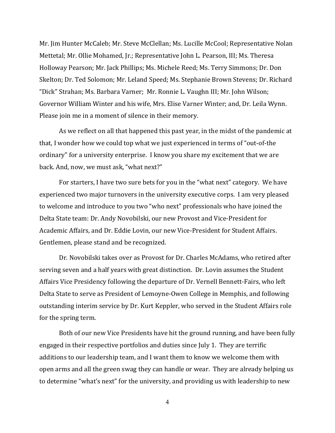Mr. Jim Hunter McCaleb; Mr. Steve McClellan; Ms. Lucille McCool; Representative Nolan Mettetal; Mr. Ollie Mohamed, Jr.; Representative John L. Pearson, III; Ms. Theresa Holloway Pearson; Mr. Jack Phillips; Ms. Michele Reed; Ms. Terry Simmons; Dr. Don Skelton; Dr. Ted Solomon; Mr. Leland Speed; Ms. Stephanie Brown Stevens; Dr. Richard "Dick" Strahan; Ms. Barbara Varner; Mr. Ronnie L. Vaughn III; Mr. John Wilson; Governor William Winter and his wife, Mrs. Elise Varner Winter; and, Dr. Leila Wynn. Please join me in a moment of silence in their memory.

As we reflect on all that happened this past year, in the midst of the pandemic at that, I wonder how we could top what we just experienced in terms of "out-of-the ordinary" for a university enterprise. I know you share my excitement that we are back. And, now, we must ask, "what next?"

For starters, I have two sure bets for you in the "what next" category. We have experienced two major turnovers in the university executive corps. I am very pleased to welcome and introduce to you two "who next" professionals who have joined the Delta State team: Dr. Andy Novobilski, our new Provost and Vice-President for Academic Affairs, and Dr. Eddie Lovin, our new Vice-President for Student Affairs. Gentlemen, please stand and be recognized.

Dr. Novobilski takes over as Provost for Dr. Charles McAdams, who retired after serving seven and a half years with great distinction. Dr. Lovin assumes the Student Affairs Vice Presidency following the departure of Dr. Vernell Bennett-Fairs, who left Delta State to serve as President of Lemoyne-Owen College in Memphis, and following outstanding interim service by Dr. Kurt Keppler, who served in the Student Affairs role for the spring term.

Both of our new Vice Presidents have hit the ground running, and have been fully engaged in their respective portfolios and duties since July 1. They are terrific additions to our leadership team, and I want them to know we welcome them with open arms and all the green swag they can handle or wear. They are already helping us to determine "what's next" for the university, and providing us with leadership to new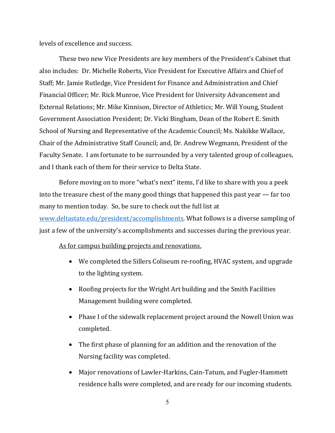levels of excellence and success.

These two new Vice Presidents are key members of the President's Cabinet that also includes: Dr. Michelle Roberts, Vice President for Executive Affairs and Chief of Staff; Mr. Jamie Rutledge, Vice President for Finance and Administration and Chief Financial Officer; Mr. Rick Munroe, Vice President for University Advancement and External Relations; Mr. Mike Kinnison, Director of Athletics; Mr. Will Young, Student Government Association President; Dr. Vicki Bingham, Dean of the Robert E. Smith School of Nursing and Representative of the Academic Council; Ms. Nakikke Wallace, Chair of the Administrative Staff Council; and, Dr. Andrew Wegmann, President of the Faculty Senate. I am fortunate to be surrounded by a very talented group of colleagues, and I thank each of them for their service to Delta State.

Before moving on to more "what's next" items, I'd like to share with you a peek into the treasure chest of the many good things that happened this past year — far too many to mention today. So, be sure to check out the full list at www.deltastate.edu/president/accomplishments. What follows is a diverse sampling of just a few of the university's accomplishments and successes during the previous year.

#### As for campus building projects and renovations,

- We completed the Sillers Coliseum re-roofing, HVAC system, and upgrade to the lighting system.
- Roofing projects for the Wright Art building and the Smith Facilities Management building were completed.
- Phase I of the sidewalk replacement project around the Nowell Union was completed.
- The first phase of planning for an addition and the renovation of the Nursing facility was completed.
- Major renovations of Lawler-Harkins, Cain-Tatum, and Fugler-Hammett residence halls were completed, and are ready for our incoming students.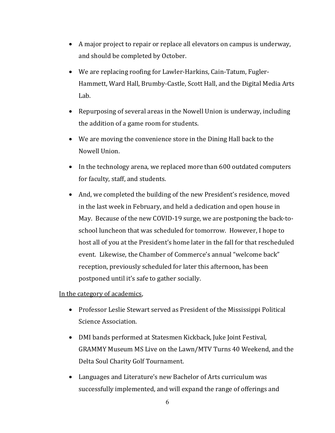- A major project to repair or replace all elevators on campus is underway, and should be completed by October.
- We are replacing roofing for Lawler-Harkins, Cain-Tatum, Fugler-Hammett, Ward Hall, Brumby-Castle, Scott Hall, and the Digital Media Arts Lab.
- Repurposing of several areas in the Nowell Union is underway, including the addition of a game room for students.
- We are moving the convenience store in the Dining Hall back to the Nowell Union.
- In the technology arena, we replaced more than 600 outdated computers for faculty, staff, and students.
- And, we completed the building of the new President's residence, moved in the last week in February, and held a dedication and open house in May. Because of the new COVID-19 surge, we are postponing the back-toschool luncheon that was scheduled for tomorrow. However, I hope to host all of you at the President's home later in the fall for that rescheduled event. Likewise, the Chamber of Commerce's annual "welcome back" reception, previously scheduled for later this afternoon, has been postponed until it's safe to gather socially.

In the category of academics,

- Professor Leslie Stewart served as President of the Mississippi Political Science Association.
- DMI bands performed at Statesmen Kickback, Juke Joint Festival, GRAMMY Museum MS Live on the Lawn/MTV Turns 40 Weekend, and the Delta Soul Charity Golf Tournament.
- Languages and Literature's new Bachelor of Arts curriculum was successfully implemented, and will expand the range of offerings and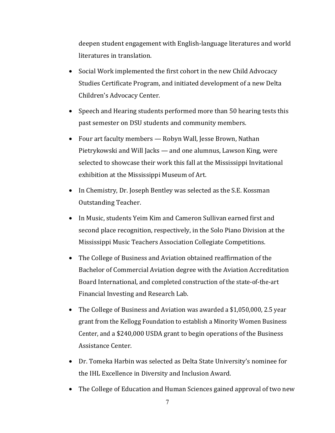deepen student engagement with English-language literatures and world literatures in translation.

- Social Work implemented the first cohort in the new Child Advocacy Studies Certificate Program, and initiated development of a new Delta Children's Advocacy Center.
- Speech and Hearing students performed more than 50 hearing tests this past semester on DSU students and community members.
- Four art faculty members Robyn Wall, Jesse Brown, Nathan Pietrykowski and Will Jacks — and one alumnus, Lawson King, were selected to showcase their work this fall at the Mississippi Invitational exhibition at the Mississippi Museum of Art.
- In Chemistry, Dr. Joseph Bentley was selected as the S.E. Kossman Outstanding Teacher.
- In Music, students Yeim Kim and Cameron Sullivan earned first and second place recognition, respectively, in the Solo Piano Division at the Mississippi Music Teachers Association Collegiate Competitions.
- The College of Business and Aviation obtained reaffirmation of the Bachelor of Commercial Aviation degree with the Aviation Accreditation Board International, and completed construction of the state-of-the-art Financial Investing and Research Lab.
- The College of Business and Aviation was awarded a \$1,050,000, 2.5 year grant from the Kellogg Foundation to establish a Minority Women Business Center, and a \$240,000 USDA grant to begin operations of the Business Assistance Center.
- Dr. Tomeka Harbin was selected as Delta State University's nominee for the IHL Excellence in Diversity and Inclusion Award.
- The College of Education and Human Sciences gained approval of two new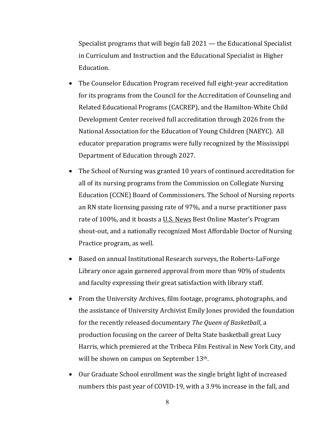Specialist programs that will begin fall 2021 — the Educational Specialist in Curriculum and Instruction and the Educational Specialist in Higher Education.

- The Counselor Education Program received full eight-year accreditation for its programs from the Council for the Accreditation of Counseling and Related Educational Programs (CACREP), and the Hamilton-White Child Development Center received full accreditation through 2026 from the National Association for the Education of Young Children (NAEYC). All educator preparation programs were fully recognized by the Mississippi Department of Education through 2027.
- The School of Nursing was granted 10 years of continued accreditation for all of its nursing programs from the Commission on Collegiate Nursing Education (CCNE) Board of Commissioners. The School of Nursing reports an RN state licensing passing rate of 97%, and a nurse practitioner pass rate of 100%, and it boasts a U.S. News Best Online Master's Program shout-out, and a nationally recognized Most Affordable Doctor of Nursing Practice program, as well.
- Based on annual Institutional Research surveys, the Roberts-LaForge Library once again garnered approval from more than 90% of students and faculty expressing their great satisfaction with library staff.
- From the University Archives, film footage, programs, photographs, and the assistance of University Archivist Emily Jones provided the foundation for the recently released documentary *The Queen of Basketball*, a production focusing on the career of Delta State basketball great Lucy Harris, which premiered at the Tribeca Film Festival in New York City, and will be shown on campus on September 13th.
- Our Graduate School enrollment was the single bright light of increased numbers this past year of COVID-19, with a 3.9% increase in the fall, and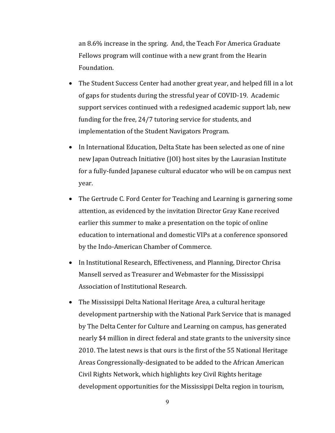an 8.6% increase in the spring. And, the Teach For America Graduate Fellows program will continue with a new grant from the Hearin Foundation.

- The Student Success Center had another great year, and helped fill in a lot of gaps for students during the stressful year of COVID-19. Academic support services continued with a redesigned academic support lab, new funding for the free, 24/7 tutoring service for students, and implementation of the Student Navigators Program.
- In International Education, Delta State has been selected as one of nine new Japan Outreach Initiative (JOI) host sites by the Laurasian Institute for a fully-funded Japanese cultural educator who will be on campus next year.
- The Gertrude C. Ford Center for Teaching and Learning is garnering some attention, as evidenced by the invitation Director Gray Kane received earlier this summer to make a presentation on the topic of online education to international and domestic VIPs at a conference sponsored by the Indo-American Chamber of Commerce.
- In Institutional Research, Effectiveness, and Planning, Director Chrisa Mansell served as Treasurer and Webmaster for the Mississippi Association of Institutional Research.
- The Mississippi Delta National Heritage Area, a cultural heritage development partnership with the National Park Service that is managed by The Delta Center for Culture and Learning on campus, has generated nearly \$4 million in direct federal and state grants to the university since 2010. The latest news is that ours is the first of the 55 National Heritage Areas Congressionally-designated to be added to the African American Civil Rights Network, which highlights key Civil Rights heritage development opportunities for the Mississippi Delta region in tourism,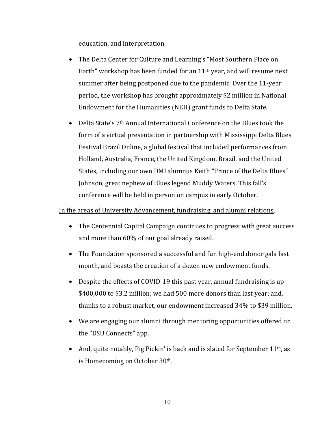education, and interpretation.

- The Delta Center for Culture and Learning's "Most Southern Place on Earth" workshop has been funded for an  $11<sup>th</sup>$  year, and will resume next summer after being postponed due to the pandemic. Over the 11-year period, the workshop has brought approximately \$2 million in National Endowment for the Humanities (NEH) grant funds to Delta State.
- Delta State's 7<sup>th</sup> Annual International Conference on the Blues took the form of a virtual presentation in partnership with Mississippi Delta Blues Festival Brazil Online, a global festival that included performances from Holland, Australia, France, the United Kingdom, Brazil, and the United States, including our own DMI alumnus Keith "Prince of the Delta Blues" Johnson, great nephew of Blues legend Muddy Waters. This fall's conference will be held in person on campus in early October.

#### In the areas of University Advancement, fundraising, and alumni relations,

- The Centennial Capital Campaign continues to progress with great success and more than 60% of our goal already raised.
- The Foundation sponsored a successful and fun high-end donor gala last month, and boasts the creation of a dozen new endowment funds.
- Despite the effects of COVID-19 this past year, annual fundraising is up \$400,000 to \$3.2 million; we had 500 more donors than last year; and, thanks to a robust market, our endowment increased 34% to \$39 million.
- We are engaging our alumni through mentoring opportunities offered on the "DSU Connects" app.
- And, quite notably, Pig Pickin' is back and is slated for September  $11<sup>th</sup>$ , as is Homecoming on October 30th.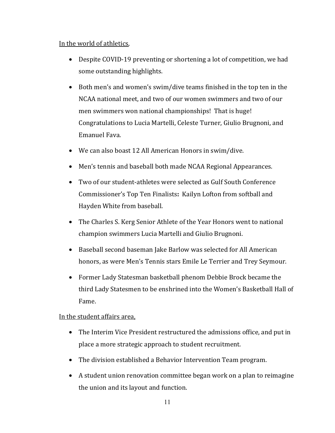## In the world of athletics,

- Despite COVID-19 preventing or shortening a lot of competition, we had some outstanding highlights.
- Both men's and women's swim/dive teams finished in the top ten in the NCAA national meet, and two of our women swimmers and two of our men swimmers won national championships! That is huge! Congratulations to Lucia Martelli, Celeste Turner, Giulio Brugnoni, and Emanuel Fava.
- We can also boast 12 All American Honors in swim/dive.
- Men's tennis and baseball both made NCAA Regional Appearances.
- Two of our student-athletes were selected as Gulf South Conference Commissioner's Top Ten Finalists**:** Kailyn Lofton from softball and Hayden White from baseball.
- The Charles S. Kerg Senior Athlete of the Year Honors went to national champion swimmers Lucia Martelli and Giulio Brugnoni.
- Baseball second baseman Jake Barlow was selected for All American honors, as were Men's Tennis stars Emile Le Terrier and Trey Seymour.
- Former Lady Statesman basketball phenom Debbie Brock became the third Lady Statesmen to be enshrined into the Women's Basketball Hall of Fame.

# In the student affairs area,

- The Interim Vice President restructured the admissions office, and put in place a more strategic approach to student recruitment.
- The division established a Behavior Intervention Team program.
- A student union renovation committee began work on a plan to reimagine the union and its layout and function.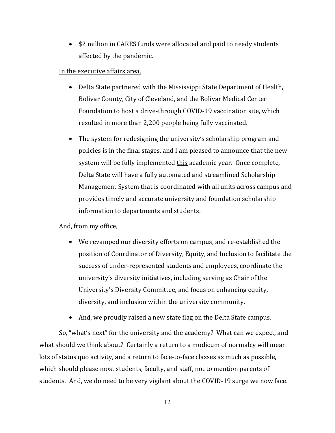• \$2 million in CARES funds were allocated and paid to needy students affected by the pandemic.

### In the executive affairs area,

- Delta State partnered with the Mississippi State Department of Health, Bolivar County, City of Cleveland, and the Bolivar Medical Center Foundation to host a drive-through COVID-19 vaccination site, which resulted in more than 2,200 people being fully vaccinated.
- The system for redesigning the university's scholarship program and policies is in the final stages, and I am pleased to announce that the new system will be fully implemented this academic year. Once complete, Delta State will have a fully automated and streamlined Scholarship Management System that is coordinated with all units across campus and provides timely and accurate university and foundation scholarship information to departments and students.

# And, from my office,

- We revamped our diversity efforts on campus, and re-established the position of Coordinator of Diversity, Equity, and Inclusion to facilitate the success of under-represented students and employees, coordinate the university's diversity initiatives, including serving as Chair of the University's Diversity Committee, and focus on enhancing equity, diversity, and inclusion within the university community.
- And, we proudly raised a new state flag on the Delta State campus.

So, "what's next" for the university and the academy? What can we expect, and what should we think about? Certainly a return to a modicum of normalcy will mean lots of status quo activity, and a return to face-to-face classes as much as possible, which should please most students, faculty, and staff, not to mention parents of students. And, we do need to be very vigilant about the COVID-19 surge we now face.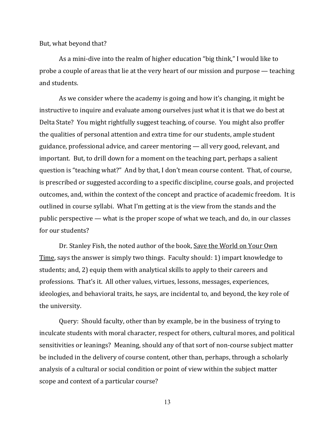But, what beyond that?

As a mini-dive into the realm of higher education "big think," I would like to probe a couple of areas that lie at the very heart of our mission and purpose — teaching and students.

As we consider where the academy is going and how it's changing, it might be instructive to inquire and evaluate among ourselves just what it is that we do best at Delta State? You might rightfully suggest teaching, of course. You might also proffer the qualities of personal attention and extra time for our students, ample student guidance, professional advice, and career mentoring — all very good, relevant, and important. But, to drill down for a moment on the teaching part, perhaps a salient question is "teaching what?" And by that, I don't mean course content. That, of course, is prescribed or suggested according to a specific discipline, course goals, and projected outcomes, and, within the context of the concept and practice of academic freedom. It is outlined in course syllabi. What I'm getting at is the view from the stands and the public perspective — what is the proper scope of what we teach, and do, in our classes for our students?

Dr. Stanley Fish, the noted author of the book, Save the World on Your Own Time, says the answer is simply two things. Faculty should: 1) impart knowledge to students; and, 2) equip them with analytical skills to apply to their careers and professions. That's it. All other values, virtues, lessons, messages, experiences, ideologies, and behavioral traits, he says, are incidental to, and beyond, the key role of the university.

Query: Should faculty, other than by example, be in the business of trying to inculcate students with moral character, respect for others, cultural mores, and political sensitivities or leanings? Meaning, should any of that sort of non-course subject matter be included in the delivery of course content, other than, perhaps, through a scholarly analysis of a cultural or social condition or point of view within the subject matter scope and context of a particular course?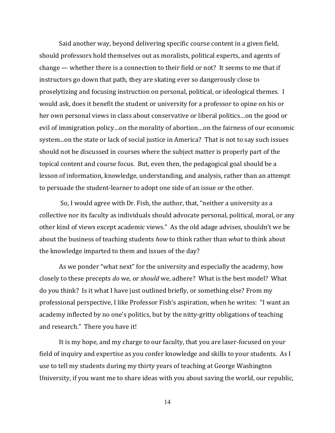Said another way, beyond delivering specific course content in a given field, should professors hold themselves out as moralists, political experts, and agents of change — whether there is a connection to their field or not? It seems to me that if instructors go down that path, they are skating ever so dangerously close to proselytizing and focusing instruction on personal, political, or ideological themes. I would ask, does it benefit the student or university for a professor to opine on his or her own personal views in class about conservative or liberal politics…on the good or evil of immigration policy…on the morality of abortion…on the fairness of our economic system...on the state or lack of social justice in America? That is not to say such issues should not be discussed in courses where the subject matter is properly part of the topical content and course focus. But, even then, the pedagogical goal should be a lesson of information, knowledge, understanding, and analysis, rather than an attempt to persuade the student-learner to adopt one side of an issue or the other.

 So, I would agree with Dr. Fish, the author, that, "neither a university as a collective nor its faculty as individuals should advocate personal, political, moral, or any other kind of views except academic views." As the old adage advises, shouldn't we be about the business of teaching students *how* to think rather than *what* to think about the knowledge imparted to them and issues of the day?

As we ponder "what next" for the university and especially the academy, how closely to these precepts *do* we, or *should* we, adhere? What is the best model? What do you think? Is it what I have just outlined briefly, or something else? From my professional perspective, I like Professor Fish's aspiration, when he writes: "I want an academy inflected by no one's politics, but by the nitty-gritty obligations of teaching and research." There you have it!

It is my hope, and my charge to our faculty, that you are laser-focused on your field of inquiry and expertise as you confer knowledge and skills to your students. As I use to tell my students during my thirty years of teaching at George Washington University, if you want me to share ideas with you about saving the world, our republic,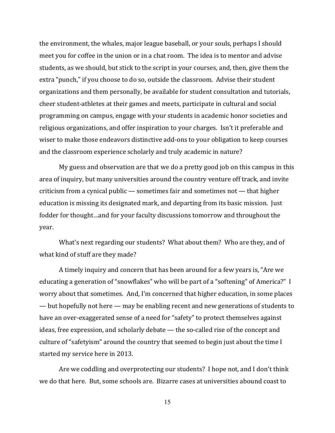the environment, the whales, major league baseball, or your souls, perhaps I should meet you for coffee in the union or in a chat room. The idea is to mentor and advise students, as we should, but stick to the script in your courses, and, then, give them the extra "punch," if you choose to do so, outside the classroom. Advise their student organizations and them personally, be available for student consultation and tutorials, cheer student-athletes at their games and meets, participate in cultural and social programming on campus, engage with your students in academic honor societies and religious organizations, and offer inspiration to your charges. Isn't it preferable and wiser to make those endeavors distinctive add-ons to your obligation to keep courses and the classroom experience scholarly and truly academic in nature?

My guess and observation are that we do a pretty good job on this campus in this area of inquiry, but many universities around the country venture off track, and invite criticism from a cynical public — sometimes fair and sometimes not — that higher education is missing its designated mark, and departing from its basic mission. Just fodder for thought…and for your faculty discussions tomorrow and throughout the year.

What's next regarding our students? What about them? Who are they, and of what kind of stuff are they made?

A timely inquiry and concern that has been around for a few years is, "Are we educating a generation of "snowflakes" who will be part of a "softening" of America?" I worry about that sometimes. And, I'm concerned that higher education, in some places — but hopefully not here — may be enabling recent and new generations of students to have an over-exaggerated sense of a need for "safety" to protect themselves against ideas, free expression, and scholarly debate — the so-called rise of the concept and culture of "safetyism" around the country that seemed to begin just about the time I started my service here in 2013.

Are we coddling and overprotecting our students? I hope not, and I don't think we do that here. But, some schools are. Bizarre cases at universities abound coast to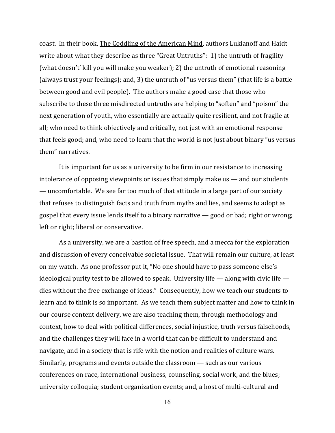coast. In their book, The Coddling of the American Mind, authors Lukianoff and Haidt write about what they describe as three "Great Untruths": 1) the untruth of fragility (what doesn't' kill you will make you weaker); 2) the untruth of emotional reasoning (always trust your feelings); and, 3) the untruth of "us versus them" (that life is a battle between good and evil people). The authors make a good case that those who subscribe to these three misdirected untruths are helping to "soften" and "poison" the next generation of youth, who essentially are actually quite resilient, and not fragile at all; who need to think objectively and critically, not just with an emotional response that feels good; and, who need to learn that the world is not just about binary "us versus them" narratives.

It is important for us as a university to be firm in our resistance to increasing intolerance of opposing viewpoints or issues that simply make us — and our students — uncomfortable. We see far too much of that attitude in a large part of our society that refuses to distinguish facts and truth from myths and lies, and seems to adopt as gospel that every issue lends itself to a binary narrative — good or bad; right or wrong; left or right; liberal or conservative.

As a university, we are a bastion of free speech, and a mecca for the exploration and discussion of every conceivable societal issue. That will remain our culture, at least on my watch. As one professor put it, "No one should have to pass someone else's ideological purity test to be allowed to speak. University life — along with civic life dies without the free exchange of ideas." Consequently, how we teach our students to learn and to think is so important. As we teach them subject matter and how to think in our course content delivery, we are also teaching them, through methodology and context, how to deal with political differences, social injustice, truth versus falsehoods, and the challenges they will face in a world that can be difficult to understand and navigate, and in a society that is rife with the notion and realities of culture wars. Similarly, programs and events outside the classroom — such as our various conferences on race, international business, counseling, social work, and the blues; university colloquia; student organization events; and, a host of multi-cultural and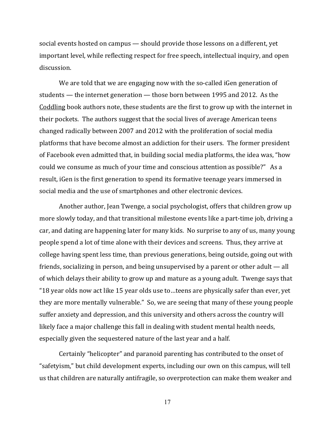social events hosted on campus — should provide those lessons on a different, yet important level, while reflecting respect for free speech, intellectual inquiry, and open discussion.

We are told that we are engaging now with the so-called iGen generation of students — the internet generation — those born between 1995 and 2012. As the Coddling book authors note, these students are the first to grow up with the internet in their pockets. The authors suggest that the social lives of average American teens changed radically between 2007 and 2012 with the proliferation of social media platforms that have become almost an addiction for their users. The former president of Facebook even admitted that, in building social media platforms, the idea was, "how could we consume as much of your time and conscious attention as possible?" As a result, iGen is the first generation to spend its formative teenage years immersed in social media and the use of smartphones and other electronic devices.

Another author, Jean Twenge, a social psychologist, offers that children grow up more slowly today, and that transitional milestone events like a part-time job, driving a car, and dating are happening later for many kids. No surprise to any of us, many young people spend a lot of time alone with their devices and screens. Thus, they arrive at college having spent less time, than previous generations, being outside, going out with friends, socializing in person, and being unsupervised by a parent or other adult — all of which delays their ability to grow up and mature as a young adult. Twenge says that "18 year olds now act like 15 year olds use to…teens are physically safer than ever, yet they are more mentally vulnerable." So, we are seeing that many of these young people suffer anxiety and depression, and this university and others across the country will likely face a major challenge this fall in dealing with student mental health needs, especially given the sequestered nature of the last year and a half.

Certainly "helicopter" and paranoid parenting has contributed to the onset of "safetyism," but child development experts, including our own on this campus, will tell us that children are naturally antifragile, so overprotection can make them weaker and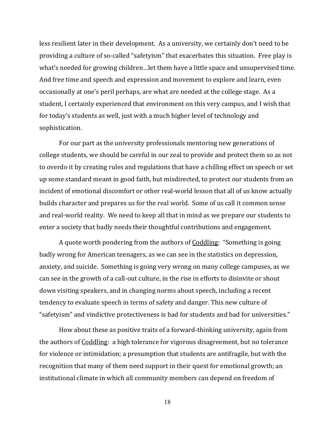less resilient later in their development. As a university, we certainly don't need to be providing a culture of so-called "safetyism" that exacerbates this situation. Free play is what's needed for growing children…let them have a little space and unsupervised time. And free time and speech and expression and movement to explore and learn, even occasionally at one's peril perhaps, are what are needed at the college stage. As a student, I certainly experienced that environment on this very campus, and I wish that for today's students as well, just with a much higher level of technology and sophistication.

For our part as the university professionals mentoring new generations of college students, we should be careful in our zeal to provide and protect them so as not to overdo it by creating rules and regulations that have a chilling effect on speech or set up some standard meant in good faith, but misdirected, to protect our students from an incident of emotional discomfort or other real-world lesson that all of us know actually builds character and prepares us for the real world. Some of us call it common sense and real-world reality. We need to keep all that in mind as we prepare our students to enter a society that badly needs their thoughtful contributions and engagement.

A quote worth pondering from the authors of Coddling: "Something is going badly wrong for American teenagers, as we can see in the statistics on depression, anxiety, and suicide. Something is going very wrong on many college campuses, as we can see in the growth of a call-out culture, in the rise in efforts to disinvite or shout down visiting speakers, and in changing norms about speech, including a recent tendency to evaluate speech in terms of safety and danger. This new culture of "safetyism" and vindictive protectiveness is bad for students and bad for universities."

How about these as positive traits of a forward-thinking university, again from the authors of Coddling: a high tolerance for vigorous disagreement, but no tolerance for violence or intimidation; a presumption that students are antifragile, but with the recognition that many of them need support in their quest for emotional growth; an institutional climate in which all community members can depend on freedom of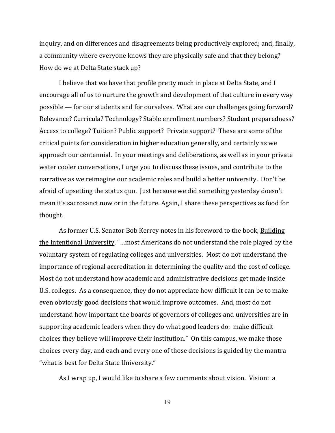inquiry, and on differences and disagreements being productively explored; and, finally, a community where everyone knows they are physically safe and that they belong? How do we at Delta State stack up?

I believe that we have that profile pretty much in place at Delta State, and I encourage all of us to nurture the growth and development of that culture in every way possible — for our students and for ourselves. What are our challenges going forward? Relevance? Curricula? Technology? Stable enrollment numbers? Student preparedness? Access to college? Tuition? Public support? Private support? These are some of the critical points for consideration in higher education generally, and certainly as we approach our centennial. In your meetings and deliberations, as well as in your private water cooler conversations, I urge you to discuss these issues, and contribute to the narrative as we reimagine our academic roles and build a better university. Don't be afraid of upsetting the status quo. Just because we did something yesterday doesn't mean it's sacrosanct now or in the future. Again, I share these perspectives as food for thought.

As former U.S. Senator Bob Kerrey notes in his foreword to the book, Building the Intentional University, "…most Americans do not understand the role played by the voluntary system of regulating colleges and universities. Most do not understand the importance of regional accreditation in determining the quality and the cost of college. Most do not understand how academic and administrative decisions get made inside U.S. colleges. As a consequence, they do not appreciate how difficult it can be to make even obviously good decisions that would improve outcomes. And, most do not understand how important the boards of governors of colleges and universities are in supporting academic leaders when they do what good leaders do: make difficult choices they believe will improve their institution." On this campus, we make those choices every day, and each and every one of those decisions is guided by the mantra "what is best for Delta State University."

As I wrap up, I would like to share a few comments about vision. Vision: a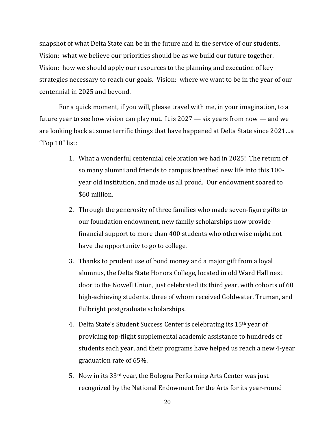snapshot of what Delta State can be in the future and in the service of our students. Vision: what we believe our priorities should be as we build our future together. Vision: how we should apply our resources to the planning and execution of key strategies necessary to reach our goals. Vision: where we want to be in the year of our centennial in 2025 and beyond.

For a quick moment, if you will, please travel with me, in your imagination, to a future year to see how vision can play out. It is 2027 — six years from now — and we are looking back at some terrific things that have happened at Delta State since 2021…a "Top 10" list:

- 1. What a wonderful centennial celebration we had in 2025! The return of so many alumni and friends to campus breathed new life into this 100 year old institution, and made us all proud. Our endowment soared to \$60 million.
- 2. Through the generosity of three families who made seven-figure gifts to our foundation endowment, new family scholarships now provide financial support to more than 400 students who otherwise might not have the opportunity to go to college.
- 3. Thanks to prudent use of bond money and a major gift from a loyal alumnus, the Delta State Honors College, located in old Ward Hall next door to the Nowell Union, just celebrated its third year, with cohorts of 60 high-achieving students, three of whom received Goldwater, Truman, and Fulbright postgraduate scholarships.
- 4. Delta State's Student Success Center is celebrating its 15<sup>th</sup> year of providing top-flight supplemental academic assistance to hundreds of students each year, and their programs have helped us reach a new 4-year graduation rate of 65%.
- 5. Now in its 33rd year, the Bologna Performing Arts Center was just recognized by the National Endowment for the Arts for its year-round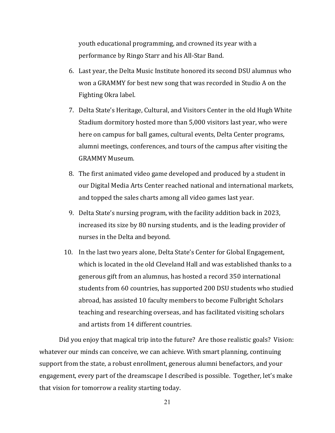youth educational programming, and crowned its year with a performance by Ringo Starr and his All-Star Band.

- 6. Last year, the Delta Music Institute honored its second DSU alumnus who won a GRAMMY for best new song that was recorded in Studio A on the Fighting Okra label.
- 7. Delta State's Heritage, Cultural, and Visitors Center in the old Hugh White Stadium dormitory hosted more than 5,000 visitors last year, who were here on campus for ball games, cultural events, Delta Center programs, alumni meetings, conferences, and tours of the campus after visiting the GRAMMY Museum.
- 8. The first animated video game developed and produced by a student in our Digital Media Arts Center reached national and international markets, and topped the sales charts among all video games last year.
- 9. Delta State's nursing program, with the facility addition back in 2023, increased its size by 80 nursing students, and is the leading provider of nurses in the Delta and beyond.
- 10. In the last two years alone, Delta State's Center for Global Engagement, which is located in the old Cleveland Hall and was established thanks to a generous gift from an alumnus, has hosted a record 350 international students from 60 countries, has supported 200 DSU students who studied abroad, has assisted 10 faculty members to become Fulbright Scholars teaching and researching overseas, and has facilitated visiting scholars and artists from 14 different countries.

Did you enjoy that magical trip into the future? Are those realistic goals? Vision: whatever our minds can conceive, we can achieve. With smart planning, continuing support from the state, a robust enrollment, generous alumni benefactors, and your engagement, every part of the dreamscape I described is possible. Together, let's make that vision for tomorrow a reality starting today.